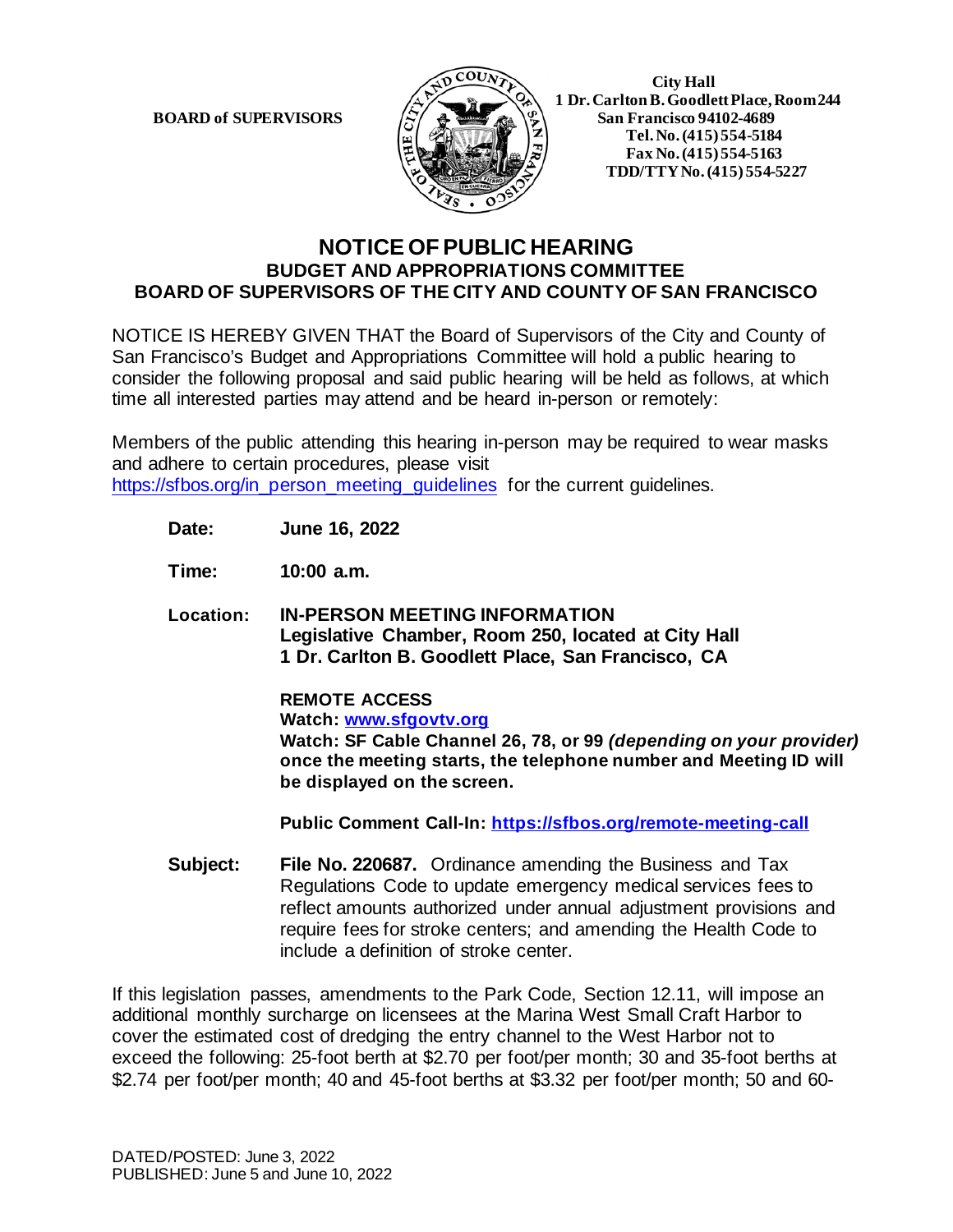

 **1 Dr. Carlton B. Goodlett Place, Room 244 BOARD of SUPERVISORS**  $\left|\frac{S}{4}\right|$   $\mathbb{R}$   $\mathbb{R}$   $\mathbb{R}$  San Francisco 94102-4689  **Tel.No. (415) 554-5184 Fax No. (415) 554-5163 TDD/TTY No. (415) 554-5227**

## **NOTICE OF PUBLIC HEARING BUDGET AND APPROPRIATIONS COMMITTEE BOARD OF SUPERVISORS OF THE CITY AND COUNTY OF SAN FRANCISCO**

NOTICE IS HEREBY GIVEN THAT the Board of Supervisors of the City and County of San Francisco's Budget and Appropriations Committee will hold a public hearing to consider the following proposal and said public hearing will be held as follows, at which time all interested parties may attend and be heard in-person or remotely:

Members of the public attending this hearing in-person may be required to wear masks and adhere to certain procedures, please visit [https://sfbos.org/in\\_person\\_meeting\\_guidelines](https://sfbos.org/in_person_meeting_guidelines) for the current guidelines.

**Date: June 16, 2022**

**Time: 10:00 a.m.**

**Location: IN-PERSON MEETING INFORMATION Legislative Chamber, Room 250, located at City Hall 1 Dr. Carlton B. Goodlett Place, San Francisco, CA**

> **REMOTE ACCESS Watch: [www.sfgovtv.org](http://www.sfgovtv.org/) Watch: SF Cable Channel 26, 78, or 99** *(depending on your provider)*  **once the meeting starts, the telephone number and Meeting ID will be displayed on the screen.**

**Public Comment Call-In:<https://sfbos.org/remote-meeting-call>**

**Subject: File No. 220687.** Ordinance amending the Business and Tax Regulations Code to update emergency medical services fees to reflect amounts authorized under annual adjustment provisions and require fees for stroke centers; and amending the Health Code to include a definition of stroke center.

If this legislation passes, amendments to the Park Code, Section 12.11, will impose an additional monthly surcharge on licensees at the Marina West Small Craft Harbor to cover the estimated cost of dredging the entry channel to the West Harbor not to exceed the following: 25-foot berth at \$2.70 per foot/per month; 30 and 35-foot berths at \$2.74 per foot/per month; 40 and 45-foot berths at \$3.32 per foot/per month; 50 and 60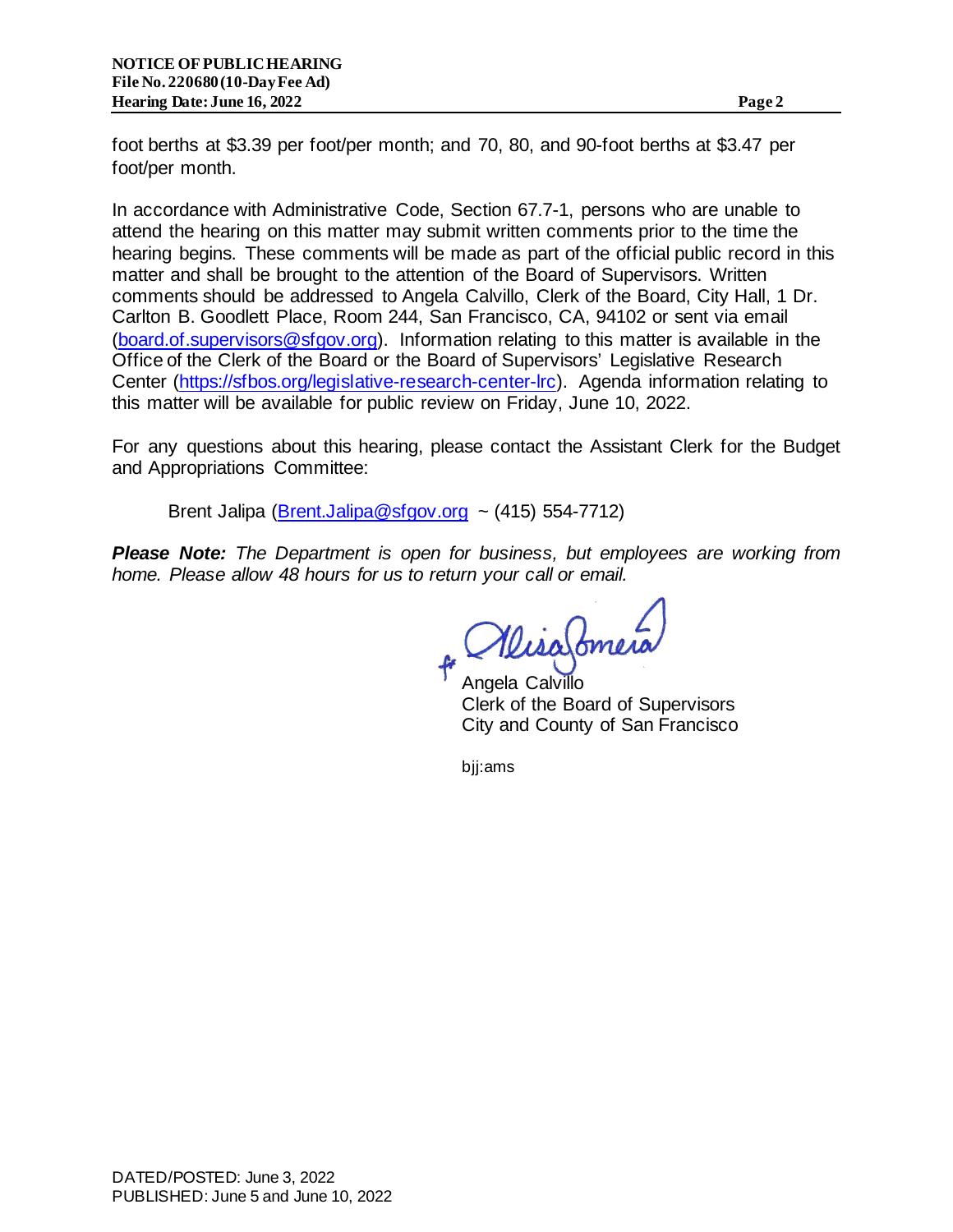foot berths at \$3.39 per foot/per month; and 70, 80, and 90-foot berths at \$3.47 per foot/per month.

In accordance with Administrative Code, Section 67.7-1, persons who are unable to attend the hearing on this matter may submit written comments prior to the time the hearing begins. These comments will be made as part of the official public record in this matter and shall be brought to the attention of the Board of Supervisors. Written comments should be addressed to Angela Calvillo, Clerk of the Board, City Hall, 1 Dr. Carlton B. Goodlett Place, Room 244, San Francisco, CA, 94102 or sent via email [\(board.of.supervisors@sfgov.org\).](mailto:board.of.supervisors@sfgov.org) Information relating to this matter is available in the Office of the Clerk of the Board or the Board of Supervisors' Legislative Research Center [\(https://sfbos.org/legislative-research-center-lrc\).](https://sfbos.org/legislative-research-center-lrc) Agenda information relating to this matter will be available for public review on Friday, June 10, 2022.

For any questions about this hearing, please contact the Assistant Clerk for the Budget and Appropriations Committee:

Brent Jalipa  $(Brent.Jalipa@sfgov.org$  ~ (415) 554-7712)

*Please Note: The Department is open for business, but employees are working from home. Please allow 48 hours for us to return your call or email.* 

WisaSome

Angela Calvillo Clerk of the Board of Supervisors City and County of San Francisco

bjj:ams